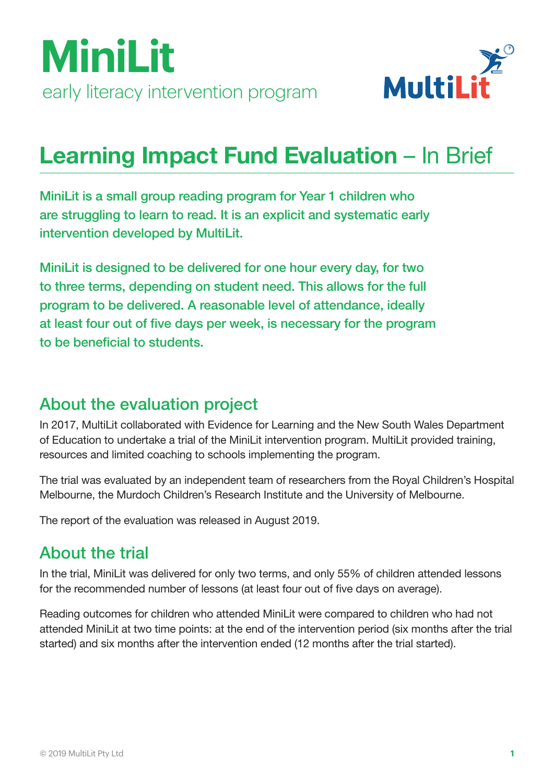



## Learning Impact Fund Evaluation – In Brief

MiniLit is a small group reading program for Year 1 children who are struggling to learn to read. It is an explicit and systematic early intervention developed by MultiLit.

MiniLit is designed to be delivered for one hour every day, for two to three terms, depending on student need. This allows for the full program to be delivered. A reasonable level of attendance, ideally at least four out of five days per week, is necessary for the program to be beneficial to students.

## About the evaluation project

In 2017, MultiLit collaborated with Evidence for Learning and the New South Wales Department of Education to undertake a trial of the MiniLit intervention program. MultiLit provided training, resources and limited coaching to schools implementing the program.

The trial was evaluated by an independent team of researchers from the Royal Children's Hospital Melbourne, the Murdoch Children's Research Institute and the University of Melbourne.

The report of the evaluation was released in August 2019.

## About the trial

In the trial, MiniLit was delivered for only two terms, and only 55% of children attended lessons for the recommended number of lessons (at least four out of five days on average).

Reading outcomes for children who attended MiniLit were compared to children who had not attended MiniLit at two time points: at the end of the intervention period (six months after the trial started) and six months after the intervention ended (12 months after the trial started).